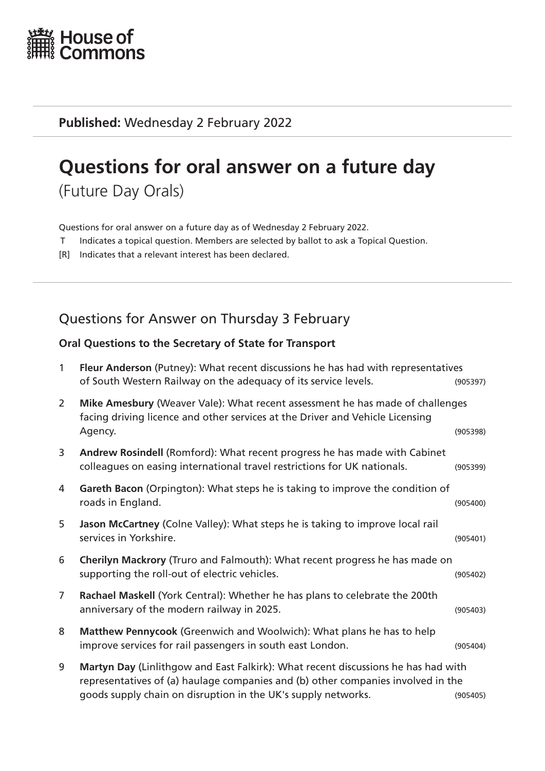

**Published:** Wednesday 2 February 2022

# **Questions for oral answer on a future day**

(Future Day Orals)

Questions for oral answer on a future day as of Wednesday 2 February 2022.

- T Indicates a topical question. Members are selected by ballot to ask a Topical Question.
- [R] Indicates that a relevant interest has been declared.

# Questions for Answer on Thursday 3 February

#### **Oral Questions to the Secretary of State for Transport**

| $\mathbf{1}$   | Fleur Anderson (Putney): What recent discussions he has had with representatives<br>of South Western Railway on the adequacy of its service levels.                                                                                    | (905397) |
|----------------|----------------------------------------------------------------------------------------------------------------------------------------------------------------------------------------------------------------------------------------|----------|
| $\overline{2}$ | Mike Amesbury (Weaver Vale): What recent assessment he has made of challenges<br>facing driving licence and other services at the Driver and Vehicle Licensing<br>Agency.                                                              | (905398) |
| 3              | Andrew Rosindell (Romford): What recent progress he has made with Cabinet<br>colleagues on easing international travel restrictions for UK nationals.                                                                                  | (905399) |
| 4              | Gareth Bacon (Orpington): What steps he is taking to improve the condition of<br>roads in England.                                                                                                                                     | (905400) |
| 5              | Jason McCartney (Colne Valley): What steps he is taking to improve local rail<br>services in Yorkshire.                                                                                                                                | (905401) |
| 6              | Cherilyn Mackrory (Truro and Falmouth): What recent progress he has made on<br>supporting the roll-out of electric vehicles.                                                                                                           | (905402) |
| $\overline{7}$ | Rachael Maskell (York Central): Whether he has plans to celebrate the 200th<br>anniversary of the modern railway in 2025.                                                                                                              | (905403) |
| 8              | Matthew Pennycook (Greenwich and Woolwich): What plans he has to help<br>improve services for rail passengers in south east London.                                                                                                    | (905404) |
| 9              | Martyn Day (Linlithgow and East Falkirk): What recent discussions he has had with<br>representatives of (a) haulage companies and (b) other companies involved in the<br>goods supply chain on disruption in the UK's supply networks. | (905405) |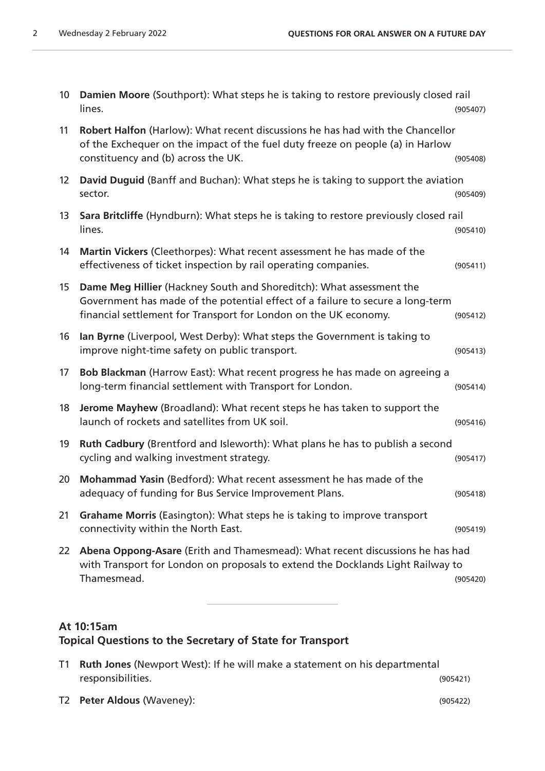| 10 <sup>°</sup> | Damien Moore (Southport): What steps he is taking to restore previously closed rail<br>lines.                                                                                                                              | (905407) |
|-----------------|----------------------------------------------------------------------------------------------------------------------------------------------------------------------------------------------------------------------------|----------|
| 11              | Robert Halfon (Harlow): What recent discussions he has had with the Chancellor<br>of the Exchequer on the impact of the fuel duty freeze on people (a) in Harlow<br>constituency and (b) across the UK.                    | (905408) |
| 12              | David Duguid (Banff and Buchan): What steps he is taking to support the aviation<br>sector.                                                                                                                                | (905409) |
| 13              | Sara Britcliffe (Hyndburn): What steps he is taking to restore previously closed rail<br>lines.                                                                                                                            | (905410) |
| 14              | Martin Vickers (Cleethorpes): What recent assessment he has made of the<br>effectiveness of ticket inspection by rail operating companies.                                                                                 | (905411) |
| 15              | Dame Meg Hillier (Hackney South and Shoreditch): What assessment the<br>Government has made of the potential effect of a failure to secure a long-term<br>financial settlement for Transport for London on the UK economy. | (905412) |
| 16              | Ian Byrne (Liverpool, West Derby): What steps the Government is taking to<br>improve night-time safety on public transport.                                                                                                | (905413) |
| 17              | Bob Blackman (Harrow East): What recent progress he has made on agreeing a<br>long-term financial settlement with Transport for London.                                                                                    | (905414) |
| 18              | Jerome Mayhew (Broadland): What recent steps he has taken to support the<br>launch of rockets and satellites from UK soil.                                                                                                 | (905416) |
| 19              | Ruth Cadbury (Brentford and Isleworth): What plans he has to publish a second<br>cycling and walking investment strategy.                                                                                                  | (905417) |
| 20              | Mohammad Yasin (Bedford): What recent assessment he has made of the<br>adequacy of funding for Bus Service Improvement Plans.                                                                                              | (905418) |
| 21              | Grahame Morris (Easington): What steps he is taking to improve transport<br>connectivity within the North East.                                                                                                            | (905419) |
| 22 <sub>2</sub> | Abena Oppong-Asare (Erith and Thamesmead): What recent discussions he has had<br>with Transport for London on proposals to extend the Docklands Light Railway to<br>Thamesmead.                                            | (905420) |
|                 |                                                                                                                                                                                                                            |          |

## **At 10:15am Topical Questions to the Secretary of State for Transport**

| T1 <b>Ruth Jones</b> (Newport West): If he will make a statement on his departmental |                            |          |
|--------------------------------------------------------------------------------------|----------------------------|----------|
|                                                                                      | responsibilities.          | (905421) |
|                                                                                      | T2 Peter Aldous (Waveney): | (905422) |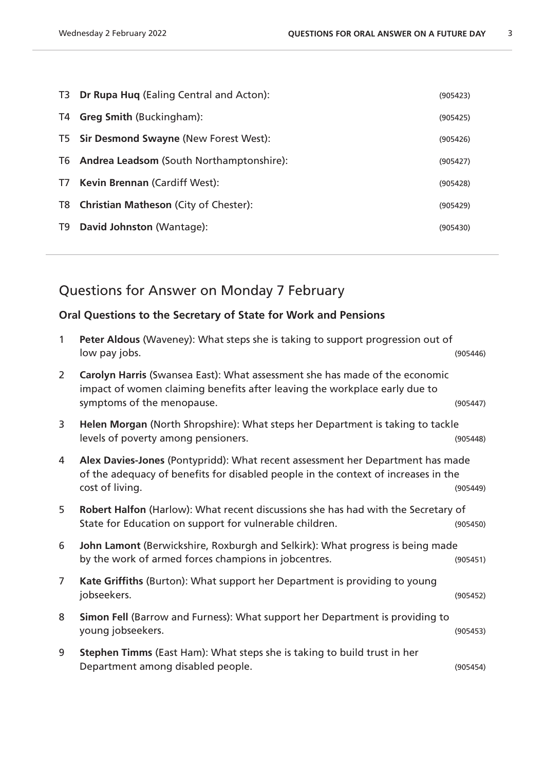|    | T3 Dr Rupa Huq (Ealing Central and Acton):  | (905423) |
|----|---------------------------------------------|----------|
| T4 | <b>Greg Smith (Buckingham):</b>             | (905425) |
|    | T5 Sir Desmond Swayne (New Forest West):    | (905426) |
|    | T6 Andrea Leadsom (South Northamptonshire): | (905427) |
| T7 | <b>Kevin Brennan (Cardiff West):</b>        | (905428) |
|    | T8 Christian Matheson (City of Chester):    | (905429) |
| T9 | David Johnston (Wantage):                   | (905430) |

# Questions for Answer on Monday 7 February

#### **Oral Questions to the Secretary of State for Work and Pensions**

| $\mathbf{1}$   | Peter Aldous (Waveney): What steps she is taking to support progression out of<br>low pay jobs.                                                                                         | (905446) |
|----------------|-----------------------------------------------------------------------------------------------------------------------------------------------------------------------------------------|----------|
| $\overline{2}$ | Carolyn Harris (Swansea East): What assessment she has made of the economic<br>impact of women claiming benefits after leaving the workplace early due to<br>symptoms of the menopause. | (905447) |
| 3              | Helen Morgan (North Shropshire): What steps her Department is taking to tackle<br>levels of poverty among pensioners.                                                                   | (905448) |
| 4              | Alex Davies-Jones (Pontypridd): What recent assessment her Department has made<br>of the adequacy of benefits for disabled people in the context of increases in the<br>cost of living. | (905449) |
| 5              | Robert Halfon (Harlow): What recent discussions she has had with the Secretary of<br>State for Education on support for vulnerable children.                                            | (905450) |
| 6              | John Lamont (Berwickshire, Roxburgh and Selkirk): What progress is being made<br>by the work of armed forces champions in jobcentres.                                                   | (905451) |
| $\overline{7}$ | Kate Griffiths (Burton): What support her Department is providing to young<br>jobseekers.                                                                                               | (905452) |
| 8              | Simon Fell (Barrow and Furness): What support her Department is providing to<br>young jobseekers.                                                                                       | (905453) |
| 9              | <b>Stephen Timms</b> (East Ham): What steps she is taking to build trust in her<br>Department among disabled people.                                                                    | (905454) |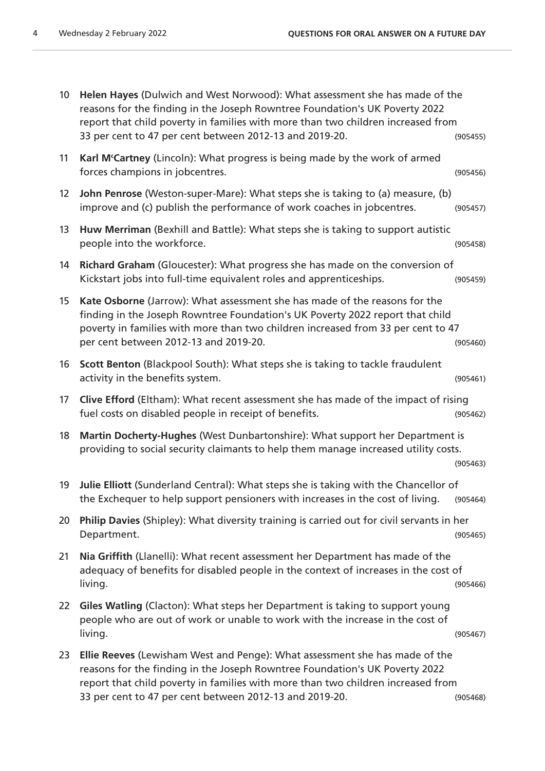| 10 | Helen Hayes (Dulwich and West Norwood): What assessment she has made of the<br>reasons for the finding in the Joseph Rowntree Foundation's UK Poverty 2022<br>report that child poverty in families with more than two children increased from<br>33 per cent to 47 per cent between 2012-13 and 2019-20. | (905455) |
|----|-----------------------------------------------------------------------------------------------------------------------------------------------------------------------------------------------------------------------------------------------------------------------------------------------------------|----------|
| 11 | Karl M'Cartney (Lincoln): What progress is being made by the work of armed<br>forces champions in jobcentres.                                                                                                                                                                                             | (905456) |
| 12 | John Penrose (Weston-super-Mare): What steps she is taking to (a) measure, (b)<br>improve and (c) publish the performance of work coaches in jobcentres.                                                                                                                                                  | (905457) |
| 13 | Huw Merriman (Bexhill and Battle): What steps she is taking to support autistic<br>people into the workforce.                                                                                                                                                                                             | (905458) |
| 14 | Richard Graham (Gloucester): What progress she has made on the conversion of<br>Kickstart jobs into full-time equivalent roles and apprenticeships.                                                                                                                                                       | (905459) |
| 15 | Kate Osborne (Jarrow): What assessment she has made of the reasons for the<br>finding in the Joseph Rowntree Foundation's UK Poverty 2022 report that child<br>poverty in families with more than two children increased from 33 per cent to 47<br>per cent between 2012-13 and 2019-20.                  | (905460) |
| 16 | Scott Benton (Blackpool South): What steps she is taking to tackle fraudulent<br>activity in the benefits system.                                                                                                                                                                                         | (905461) |
| 17 | <b>Clive Efford</b> (Eltham): What recent assessment she has made of the impact of rising<br>fuel costs on disabled people in receipt of benefits.                                                                                                                                                        | (905462) |
| 18 | Martin Docherty-Hughes (West Dunbartonshire): What support her Department is<br>providing to social security claimants to help them manage increased utility costs.                                                                                                                                       | (905463) |
| 19 | Julie Elliott (Sunderland Central): What steps she is taking with the Chancellor of<br>the Exchequer to help support pensioners with increases in the cost of living.                                                                                                                                     | (905464) |
| 20 | Philip Davies (Shipley): What diversity training is carried out for civil servants in her<br>Department.                                                                                                                                                                                                  | (905465) |
| 21 | Nia Griffith (Llanelli): What recent assessment her Department has made of the<br>adequacy of benefits for disabled people in the context of increases in the cost of<br>living.                                                                                                                          | (905466) |
| 22 | Giles Watling (Clacton): What steps her Department is taking to support young<br>people who are out of work or unable to work with the increase in the cost of<br>living.                                                                                                                                 | (905467) |
| 23 | Ellie Reeves (Lewisham West and Penge): What assessment she has made of the<br>reasons for the finding in the Joseph Rowntree Foundation's UK Poverty 2022<br>report that child poverty in families with more than two children increased from                                                            |          |

33 per cent to 47 per cent between 2012-13 and 2019-20. (905468)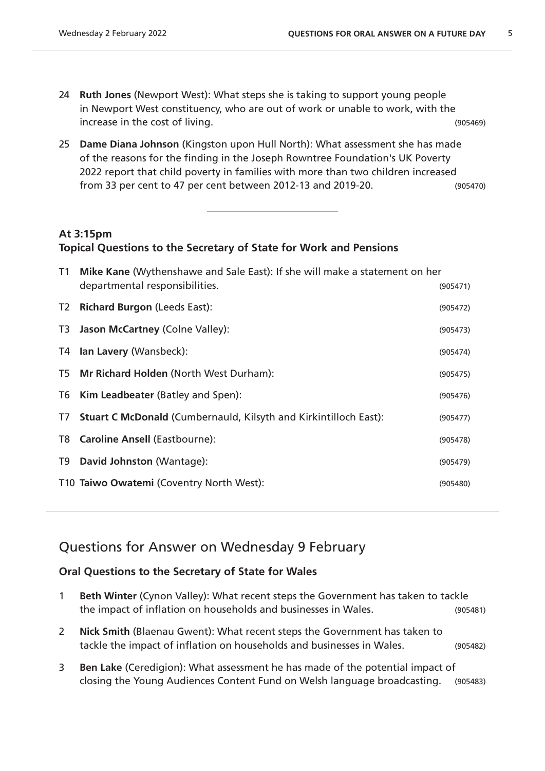- 24 **Ruth Jones** (Newport West): What steps she is taking to support young people in Newport West constituency, who are out of work or unable to work, with the increase in the cost of living. (905469)
- 25 **Dame Diana Johnson** (Kingston upon Hull North): What assessment she has made of the reasons for the finding in the Joseph Rowntree Foundation's UK Poverty 2022 report that child poverty in families with more than two children increased from 33 per cent to 47 per cent between 2012-13 and 2019-20. (905470)

### **At 3:15pm**

#### **Topical Questions to the Secretary of State for Work and Pensions**

| T1             | Mike Kane (Wythenshawe and Sale East): If she will make a statement on her |          |  |
|----------------|----------------------------------------------------------------------------|----------|--|
|                | departmental responsibilities.                                             | (905471) |  |
| T <sub>2</sub> | <b>Richard Burgon (Leeds East):</b>                                        | (905472) |  |
| T3             | <b>Jason McCartney (Colne Valley):</b>                                     | (905473) |  |
| T4             | Ian Lavery (Wansbeck):                                                     | (905474) |  |
| T5             | <b>Mr Richard Holden (North West Durham):</b>                              | (905475) |  |
| T6             | <b>Kim Leadbeater (Batley and Spen):</b>                                   | (905476) |  |
| T7             | <b>Stuart C McDonald (Cumbernauld, Kilsyth and Kirkintilloch East):</b>    | (905477) |  |
| T8             | <b>Caroline Ansell (Eastbourne):</b>                                       | (905478) |  |
| T9             | David Johnston (Wantage):                                                  | (905479) |  |
|                | T10 Taiwo Owatemi (Coventry North West):                                   | (905480) |  |

# Questions for Answer on Wednesday 9 February

#### **Oral Questions to the Secretary of State for Wales**

- 1 **Beth Winter** (Cynon Valley): What recent steps the Government has taken to tackle the impact of inflation on households and businesses in Wales. (905481)
- 2 **Nick Smith** (Blaenau Gwent): What recent steps the Government has taken to tackle the impact of inflation on households and businesses in Wales. (905482)
- 3 **Ben Lake** (Ceredigion): What assessment he has made of the potential impact of closing the Young Audiences Content Fund on Welsh language broadcasting. (905483)